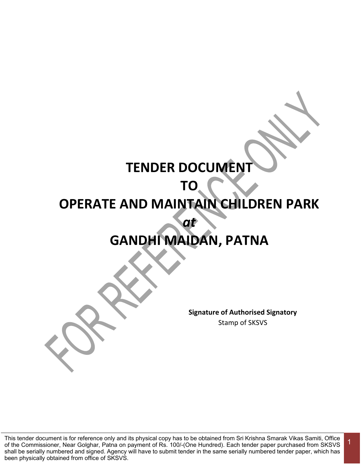# **TENDER DOCUMENT**

# **TO**

# **OPERATE AND MAINTAIN CHILDREN PARK**

# **GANDHI MAIDAN, PATNA**

*at* 

**Signature of Authorised Signatory** Stamp of SKSVS

1

This tender document is for reference only and its physical copy has to be obtained from Sri Krishna Smarak Vikas Samiti, Office of the Commissioner, Near Golghar, Patna on payment of Rs. 100/-(One Hundred). Each tender paper purchased from SKSVS shall be serially numbered and signed. Agency will have to submit tender in the same serially numbered tender paper, which has been physically obtained from office of SKSVS.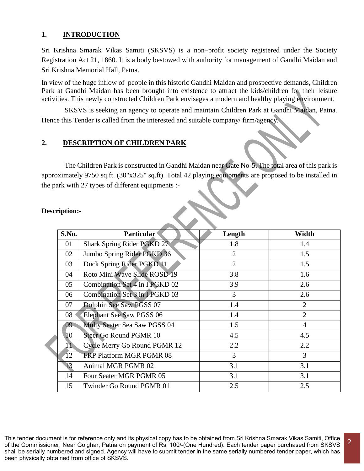## **1. INTRODUCTION**

Sri Krishna Smarak Vikas Samiti (SKSVS) is a non–profit society registered under the Society Registration Act 21, 1860. It is a body bestowed with authority for management of Gandhi Maidan and Sri Krishna Memorial Hall, Patna.

In view of the huge inflow of people in this historic Gandhi Maidan and prospective demands, Children Park at Gandhi Maidan has been brought into existence to attract the kids/children for their leisure activities. This newly constructed Children Park envisages a modern and healthy playing environment.

SKSVS is seeking an agency to operate and maintain Children Park at Gandhi Maidan, Patna. Hence this Tender is called from the interested and suitable company/ firm/agency.

## **2. DESCRIPTION OF CHILDREN PARK**

The Children Park is constructed in Gandhi Maidan near Gate No-5. The total area of this park is approximately 9750 sq.ft. (30"x325" sq.ft). Total 42 playing equipments are proposed to be installed in the park with 27 types of different equipments :-

| S.No. | Particular <sup>®</sup>         | Length         | Width          |  |
|-------|---------------------------------|----------------|----------------|--|
| 01    | Shark Spring Rider PGKD 27      | 1.8            | 1.4            |  |
| 02    | Jumbo Spring Rider PGKD 36      | $\overline{2}$ | 1.5            |  |
| 03    | Duck Spring Rider PGKD 11       | $\overline{2}$ | 1.5            |  |
| 04    | Roto Mini Wave Slide ROSD 19    | 3.8            | 1.6            |  |
| 05    | Combination Set 4 in I PGKD 02  | 3.9            | 2.6            |  |
| 06    | Combination Set 3 in IPGKD 03   | 3              | 2.6            |  |
| 07    | Dolphin See Saw PGSS 07         | 1.4            | 2              |  |
| 08    | <b>Elephant See Saw PGSS 06</b> | 1.4            | $\overline{2}$ |  |
| 09    | Multy Seater Sea Saw PGSS 04    | 1.5            | $\overline{4}$ |  |
| 10    | <b>Steer Go Round PGMR 10</b>   | 4.5            | 4.5            |  |
| 11    | Cycle Merry Go Round PGMR 12    | 2.2            | 2.2            |  |
| 12    | FRP Platform MGR PGMR 08        | 3              | 3              |  |
| 13    | Animal MGR PGMR 02              | 3.1            | 3.1            |  |
| 14    | Four Seater MGR PGMR 05         | 3.1            | 3.1            |  |
| 15    | Twinder Go Round PGMR 01        | 2.5            | 2.5            |  |

#### **Description:-**

This tender document is for reference only and its physical copy has to be obtained from Sri Krishna Smarak Vikas Samiti, Office of the Commissioner, Near Golghar, Patna on payment of Rs. 100/-(One Hundred). Each tender paper purchased from SKSVS shall be serially numbered and signed. Agency will have to submit tender in the same serially numbered tender paper, which has been physically obtained from office of SKSVS.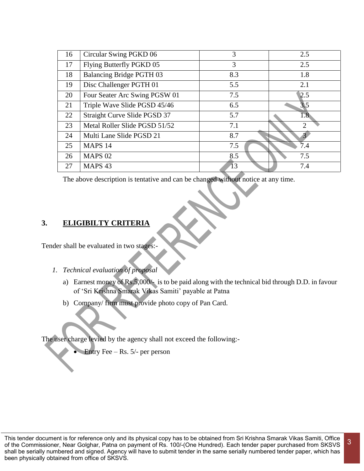| 16 | Circular Swing PGKD 06          | 3   | 2.5 |
|----|---------------------------------|-----|-----|
| 17 | Flying Butterfly PGKD 05        | 3   | 2.5 |
| 18 | <b>Balancing Bridge PGTH 03</b> | 8.3 | 1.8 |
| 19 | Disc Challenger PGTH 01         | 5.5 | 2.1 |
| 20 | Four Seater Arc Swing PGSW 01   | 7.5 | 2.5 |
| 21 | Triple Wave Slide PGSD 45/46    | 6.5 | 3.5 |
| 22 | Straight Curve Slide PGSD 37    | 5.7 | 1.8 |
| 23 | Metal Roller Slide PGSD 51/52   | 7.1 | ↑   |
| 24 | Multi Lane Slide PGSD 21        | 8.7 |     |
| 25 | MAPS <sub>14</sub>              | 7.5 | 7.4 |
| 26 | <b>MAPS 02</b>                  | 8.5 | 7.5 |
| 27 | MAPS <sub>43</sub>              | 13  | 7.4 |

The above description is tentative and can be changed without notice at any time.

## **3. ELIGIBILTY CRITERIA**

Tender shall be evaluated in two stages:-

- *1. Technical evaluation of proposal* 
	- a) Earnest money of Rs.5,000/- is to be paid along with the technical bid through D.D. in favour of 'Sri Krishna Smarak Vikas Samiti' payable at Patna
	- b) Company/ firm must provide photo copy of Pan Card.

The user charge levied by the agency shall not exceed the following:-

Entry Fee – Rs. 5/- per person

This tender document is for reference only and its physical copy has to be obtained from Sri Krishna Smarak Vikas Samiti, Office of the Commissioner, Near Golghar, Patna on payment of Rs. 100/-(One Hundred). Each tender paper purchased from SKSVS shall be serially numbered and signed. Agency will have to submit tender in the same serially numbered tender paper, which has been physically obtained from office of SKSVS. 3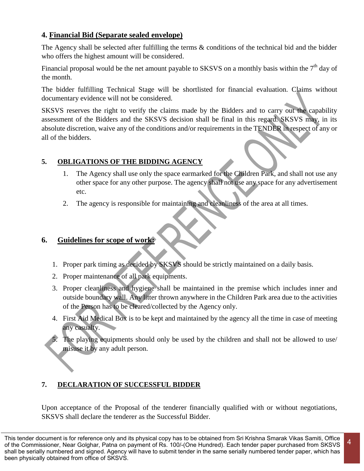# **4. Financial Bid (Separate sealed envelope)**

The Agency shall be selected after fulfilling the terms & conditions of the technical bid and the bidder who offers the highest amount will be considered.

Financial proposal would be the net amount payable to SKSVS on a monthly basis within the  $7<sup>th</sup>$  day of the month.

The bidder fulfilling Technical Stage will be shortlisted for financial evaluation. Claims without documentary evidence will not be considered.

SKSVS reserves the right to verify the claims made by the Bidders and to carry out the capability assessment of the Bidders and the SKSVS decision shall be final in this regard. SKSVS may, in its absolute discretion, waive any of the conditions and/or requirements in the TENDER in respect of any or all of the bidders.

# **5. OBLIGATIONS OF THE BIDDING AGENCY**

- 1. The Agency shall use only the space earmarked for the Children Park, and shall not use any other space for any other purpose. The agency shall not use any space for any advertisement etc.
- 2. The agency is responsible for maintaining and cleanliness of the area at all times.

# **6. Guidelines for scope of work:**

- 1. Proper park timing as decided by SKSVS should be strictly maintained on a daily basis.
- 2. Proper maintenance of all park equipments.
- 3. Proper cleanliness and hygiene shall be maintained in the premise which includes inner and outside boundary wall. Any litter thrown anywhere in the Children Park area due to the activities of the Person has to be cleared/collected by the Agency only.
- 4. First Aid Medical Box is to be kept and maintained by the agency all the time in case of meeting any casualty.
- 5. The playing equipments should only be used by the children and shall not be allowed to use/ misuse it by any adult person.

# **7. DECLARATION OF SUCCESSFUL BIDDER**

Upon acceptance of the Proposal of the tenderer financially qualified with or without negotiations, SKSVS shall declare the tenderer as the Successful Bidder.

This tender document is for reference only and its physical copy has to be obtained from Sri Krishna Smarak Vikas Samiti, Office of the Commissioner, Near Golghar, Patna on payment of Rs. 100/-(One Hundred). Each tender paper purchased from SKSVS shall be serially numbered and signed. Agency will have to submit tender in the same serially numbered tender paper, which has been physically obtained from office of SKSVS.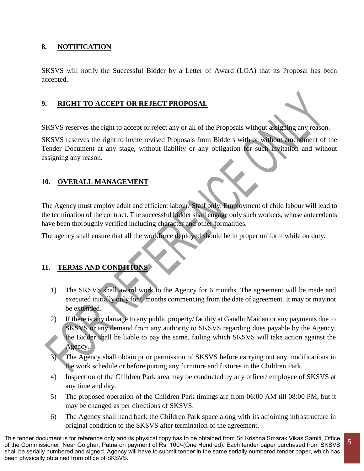## **8. NOTIFICATION**

SKSVS will notify the Successful Bidder by a Letter of Award (LOA) that its Proposal has been accepted.

## **9. RIGHT TO ACCEPT OR REJECT PROPOSAL**

SKSVS reserves the right to accept or reject any or all of the Proposals without assigning any reason.

SKSVS reserves the right to invite revised Proposals from Bidders with or without amendment of the Tender Document at any stage, without liability or any obligation for such invitation and without assigning any reason.

## **10. OVERALL MANAGEMENT**

The Agency must employ adult and efficient labour/ Staff only. Employment of child labour will lead to the termination of the contract. The successful bidder shall engage only such workers, whose antecedents have been thoroughly verified including character and other formalities.

The agency shall ensure that all the workforce deployed should be in proper uniform while on duty.

## **11. TERMS AND CONDITIONS**

- 1) The SKSVS shall award work to the Agency for 6 months. The agreement will be made and executed initially only for 6 months commencing from the date of agreement. It may or may not be extended.
- 2) If there is any damage to any public property/ facility at Gandhi Maidan or any payments due to SKSVS or any demand from any authority to SKSVS regarding dues payable by the Agency, the Bidder shall be liable to pay the same, failing which SKSVS will take action against the Agency.
- The Agency shall obtain prior permission of SKSVS before carrying out any modifications in the work schedule or before putting any furniture and fixtures in the Children Park.
- 4) Inspection of the Children Park area may be conducted by any officer/ employee of SKSVS at any time and day.
- 5) The proposed operation of the Children Park timings are from 06:00 AM till 08:00 PM, but it may be changed as per directions of SKSVS.
- 6) The Agency shall hand back the Children Park space along with its adjoining infrastructure in original condition to the SKSVS after termination of the agreement.

This tender document is for reference only and its physical copy has to be obtained from Sri Krishna Smarak Vikas Samiti, Office of the Commissioner, Near Golghar, Patna on payment of Rs. 100/-(One Hundred). Each tender paper purchased from SKSVS shall be serially numbered and signed. Agency will have to submit tender in the same serially numbered tender paper, which has been physically obtained from office of SKSVS.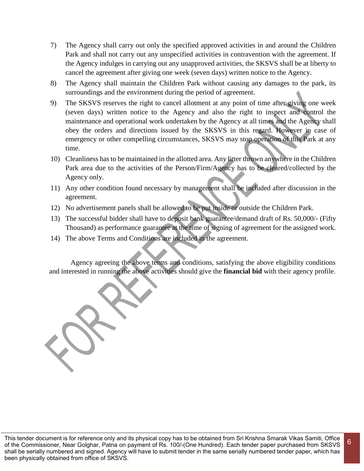- 7) The Agency shall carry out only the specified approved activities in and around the Children Park and shall not carry out any unspecified activities in contravention with the agreement. If the Agency indulges in carrying out any unapproved activities, the SKSVS shall be at liberty to cancel the agreement after giving one week (seven days) written notice to the Agency.
- 8) The Agency shall maintain the Children Park without causing any damages to the park, its surroundings and the environment during the period of agreement.
- 9) The SKSVS reserves the right to cancel allotment at any point of time after giving one week (seven days) written notice to the Agency and also the right to inspect and control the maintenance and operational work undertaken by the Agency at all times and the Agency shall obey the orders and directions issued by the SKSVS in this regard. However in case of emergency or other compelling circumstances, SKSVS may stop operation of this Park at any time.
- 10) Cleanliness has to be maintained in the allotted area. Any litter thrown anywhere in the Children Park area due to the activities of the Person/Firm/Agency has to be cleared/collected by the Agency only.
- 11) Any other condition found necessary by management shall be included after discussion in the agreement.
- 12) No advertisement panels shall be allowed to be put inside or outside the Children Park.
- 13) The successful bidder shall have to deposit bank guarantee/demand draft of Rs. 50,000/- (Fifty Thousand) as performance guarantee at the time of signing of agreement for the assigned work.
- 14) The above Terms and Conditions are included in the agreement.

Agency agreeing the above terms and conditions, satisfying the above eligibility conditions and interested in running the above activities should give the **financial bid** with their agency profile.

6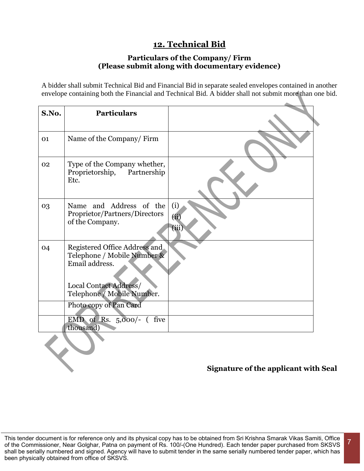# **12. Technical Bid**

## **Particulars of the Company/ Firm (Please submit along with documentary evidence)**

A bidder shall submit Technical Bid and Financial Bid in separate sealed envelopes contained in another envelope containing both the Financial and Technical Bid. A bidder shall not submit more than one bid.

| S.No. | <b>Particulars</b>                                                                                                                     |                      |
|-------|----------------------------------------------------------------------------------------------------------------------------------------|----------------------|
| 01    | Name of the Company/Firm                                                                                                               |                      |
| 02    | Type of the Company whether,<br>Proprietorship, Partnership<br>Etc.                                                                    |                      |
| 03    | Name and Address of the<br>Proprietor/Partners/Directors<br>of the Company.                                                            | (i)<br>(ii)<br>(iii) |
| 04    | Registered Office Address and<br>Telephone / Mobile Number &<br>Email address.<br>Local Contact Address/<br>Telephone / Mobile Number. |                      |
|       | Photo copy of Pan Card                                                                                                                 |                      |
|       | EMD of Rs. $5,000/-$ (five<br>thousand)                                                                                                |                      |
|       |                                                                                                                                        |                      |

# **Signature of the applicant with Seal**

This tender document is for reference only and its physical copy has to be obtained from Sri Krishna Smarak Vikas Samiti, Office of the Commissioner, Near Golghar, Patna on payment of Rs. 100/-(One Hundred). Each tender paper purchased from SKSVS shall be serially numbered and signed. Agency will have to submit tender in the same serially numbered tender paper, which has been physically obtained from office of SKSVS.